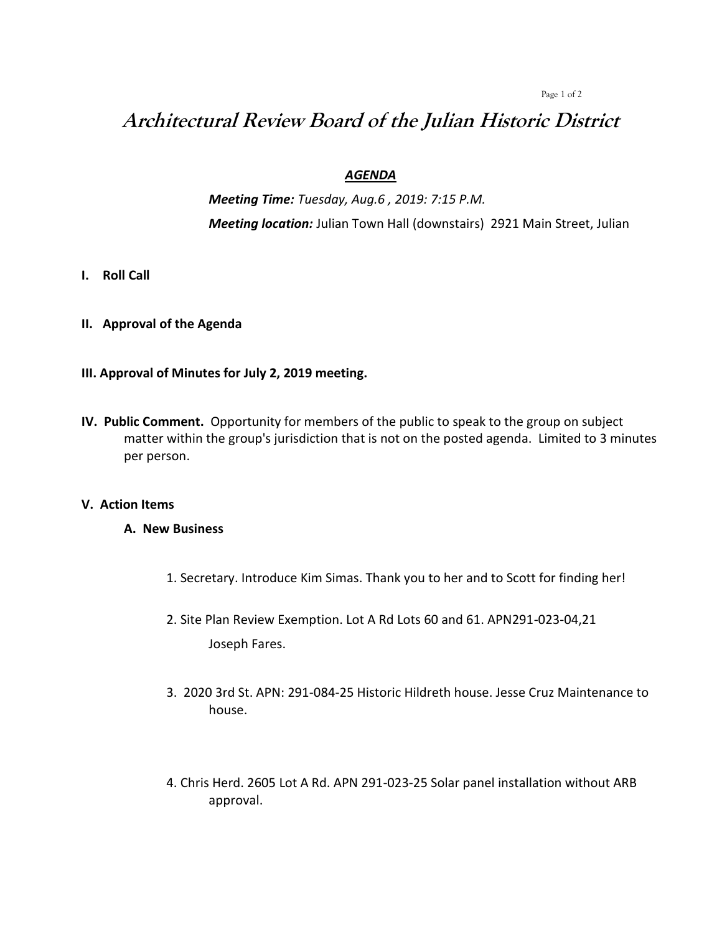Page 1 of 2

# **Architectural Review Board of the Julian Historic District**

## *AGENDA*

*Meeting Time: Tuesday, Aug.6 , 2019: 7:15 P.M. Meeting location:* Julian Town Hall (downstairs) 2921 Main Street, Julian

- **I. Roll Call**
- **II. Approval of the Agenda**
- **III. Approval of Minutes for July 2, 2019 meeting.**
- **IV. Public Comment.** Opportunity for members of the public to speak to the group on subject matter within the group's jurisdiction that is not on the posted agenda. Limited to 3 minutes per person.

## **V. Action Items**

## **A. New Business**

- 1. Secretary. Introduce Kim Simas. Thank you to her and to Scott for finding her!
- 2. Site Plan Review Exemption. Lot A Rd Lots 60 and 61. APN291-023-04,21 Joseph Fares.
- 3. 2020 3rd St. APN: 291-084-25 Historic Hildreth house. Jesse Cruz Maintenance to house.
- 4. Chris Herd. 2605 Lot A Rd. APN 291-023-25 Solar panel installation without ARB approval.